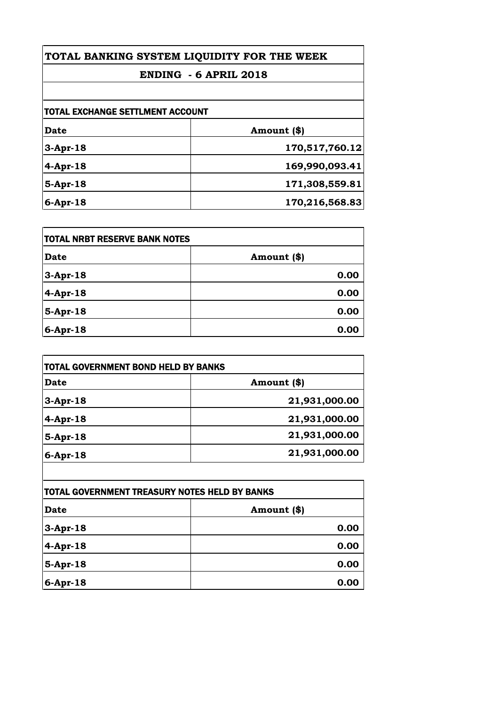## **TOTAL BANKING SYSTEM LIQUIDITY FOR THE WEEK**

## **ENDING - 6 APRIL 2018**

| Date           | Amount (\$)    |
|----------------|----------------|
| $3-Apr-18$     | 170,517,760.12 |
| $4$ -Apr-18    | 169,990,093.41 |
| $5-Apr-18$     | 171,308,559.81 |
| $6 - Apr - 18$ | 170,216,568.83 |

| <b>ITOTAL NRBT RESERVE BANK NOTES</b> |             |
|---------------------------------------|-------------|
| Date                                  | Amount (\$) |
| $3-Apr-18$                            | 0.00        |
| 4-Apr-18                              | 0.00        |
| $5-Apr-18$                            | 0.00        |
| $6-Apr-18$                            | 0.00        |

| TOTAL GOVERNMENT BOND HELD BY BANKS |               |
|-------------------------------------|---------------|
| <b>Date</b>                         | Amount (\$)   |
| $3-Apr-18$                          | 21,931,000.00 |
| $4$ -Apr-18                         | 21,931,000.00 |
| $5-Apr-18$                          | 21,931,000.00 |
| $6$ -Apr-18                         | 21,931,000.00 |

| TOTAL GOVERNMENT TREASURY NOTES HELD BY BANKS |             |
|-----------------------------------------------|-------------|
| <b>Date</b>                                   | Amount (\$) |
| $3-Apr-18$                                    | 0.00        |
| $4$ -Apr-18                                   | 0.00        |
| $5-Apr-18$                                    | 0.00        |
| $6$ -Apr-18                                   | 0.00        |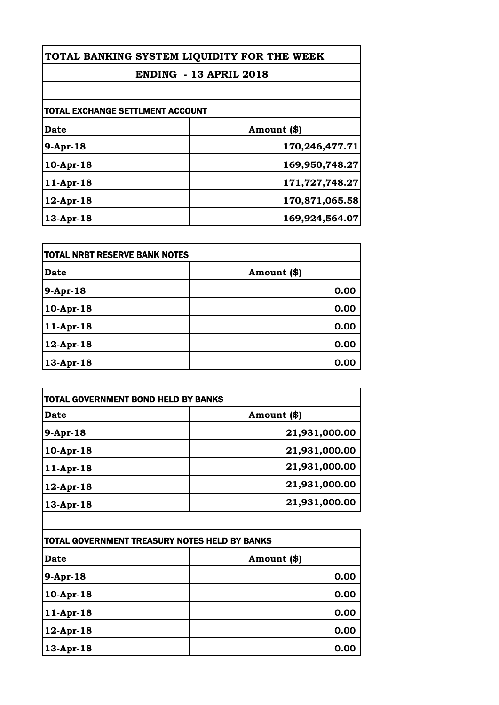| TOTAL BANKING SYSTEM LIQUIDITY FOR THE WEEK<br><b>ENDING - 13 APRIL 2018</b> |                |
|------------------------------------------------------------------------------|----------------|
|                                                                              |                |
| TOTAL EXCHANGE SETTLMENT ACCOUNT                                             |                |
| Date                                                                         | Amount (\$)    |
| 9-Apr-18                                                                     | 170,246,477.71 |
| $10-Apr-18$                                                                  | 169,950,748.27 |
| $11-Apr-18$                                                                  | 171,727,748.27 |

| $12$ -Apr-18 | 170,871,065.58 |
|--------------|----------------|
| $13$ -Apr-18 | 169,924,564.07 |
|              |                |

| <b>TOTAL NRBT RESERVE BANK NOTES</b> |             |
|--------------------------------------|-------------|
| <b>Date</b>                          | Amount (\$) |
| 9-Apr-18                             | 0.00        |
| $10-Apr-18$                          | 0.00        |
| 11-Apr-18                            | 0.00        |
| $12$ -Apr-18                         | 0.00        |
| $13$ -Apr-18                         | 0.00        |

| <b>TOTAL GOVERNMENT BOND HELD BY BANKS</b>    |               |
|-----------------------------------------------|---------------|
| <b>Date</b>                                   | Amount (\$)   |
| $9-Apr-18$                                    | 21,931,000.00 |
| 10-Apr-18                                     | 21,931,000.00 |
| $11-Apr-18$                                   | 21,931,000.00 |
| 12-Apr-18                                     | 21,931,000.00 |
| 13-Apr-18                                     | 21,931,000.00 |
|                                               |               |
| TOTAL GOVERNMENT TREASURY NOTES HELD BY BANKS |               |
| Date                                          | Amount (\$)   |

| <u>TUTAL GUVERNMENT TREASURT NUTES HELD BT BANKS</u> |             |
|------------------------------------------------------|-------------|
| Date                                                 | Amount (\$) |
| 9-Apr-18                                             | 0.00        |
| 10-Apr-18                                            | 0.00        |
| 11-Apr-18                                            | 0.00        |
| $12$ -Apr-18                                         | 0.00        |
| 13-Apr-18                                            | 0.00        |
|                                                      |             |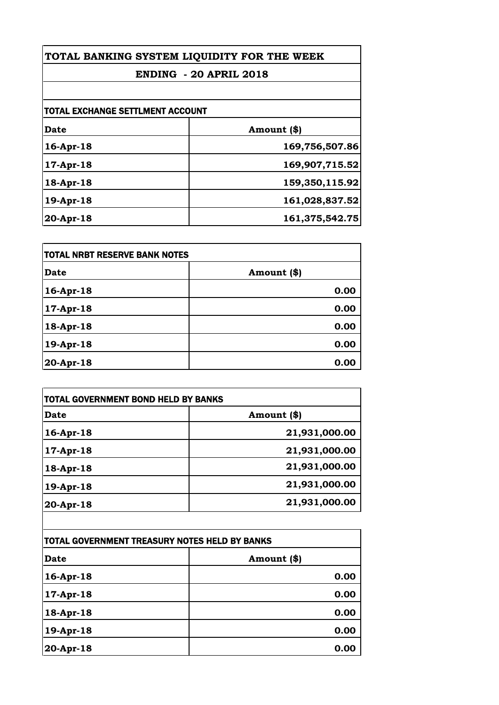| TOTAL BANKING SYSTEM LIQUIDITY FOR THE WEEK |                               |
|---------------------------------------------|-------------------------------|
|                                             | <b>ENDING - 20 APRIL 2018</b> |
|                                             |                               |
| <b>TOTAL EXCHANGE SETTLMENT ACCOUNT</b>     |                               |
| Date                                        | Amount (\$)                   |
| 16-Apr-18                                   | 169,756,507.86                |

| . LV 1111 - LV | 102, 100, 00 <b>1</b> |
|----------------|-----------------------|
| $ 17-Apr-18 $  | 169,907,715.52        |
| 18-Apr-18      | 159,350,115.92        |
| 19-Apr-18      | 161,028,837.52        |
| 20-Apr-18      | 161,375,542.75        |

| <b>TOTAL NRBT RESERVE BANK NOTES</b> |             |
|--------------------------------------|-------------|
| <b>Date</b>                          | Amount (\$) |
| 16-Apr-18                            | 0.00        |
| $17$ -Apr-18                         | 0.00        |
| 18-Apr-18                            | 0.00        |
| 19-Apr-18                            | 0.00        |
| 20-Apr-18                            | 0.00        |

| <b>Date</b> | Amount (\$)   |
|-------------|---------------|
| 16-Apr-18   | 21,931,000.00 |
| 17-Apr-18   | 21,931,000.00 |
| 18-Apr-18   | 21,931,000.00 |
| 19-Apr-18   | 21,931,000.00 |
| 20-Apr-18   | 21,931,000.00 |
|             |               |

| TOTAL GOVERNMENT TREASURY NOTES HELD BY BANKS |             |  |
|-----------------------------------------------|-------------|--|
| <b>Date</b>                                   | Amount (\$) |  |
| 16-Apr-18                                     | 0.00        |  |
| 17-Apr-18                                     | 0.00        |  |
| 18-Apr-18                                     | 0.00        |  |
| 19-Apr-18                                     | 0.00        |  |
| 20-Apr-18                                     | 0.00        |  |